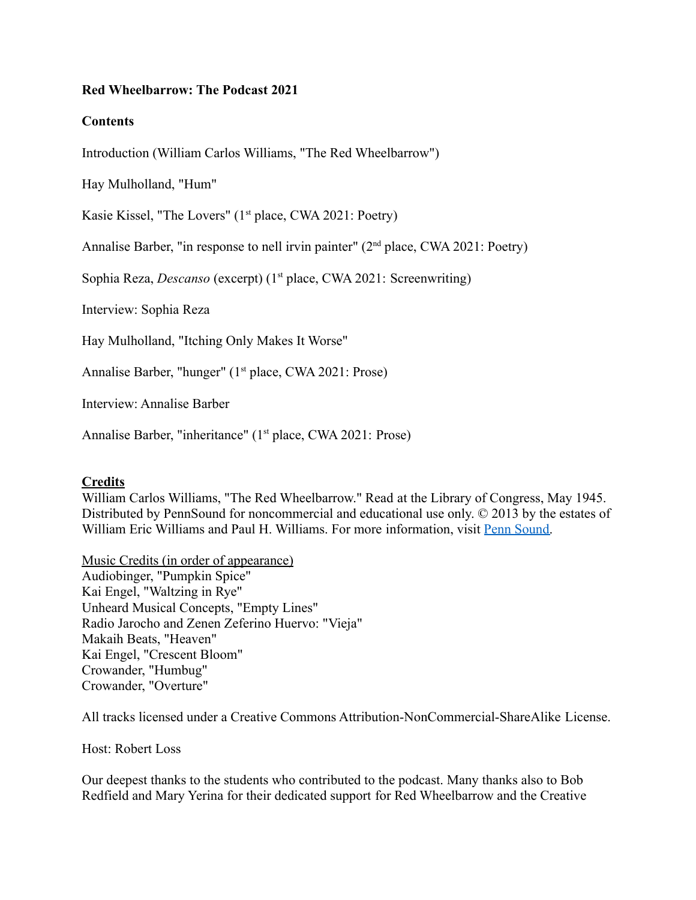## **Red Wheelbarrow: The Podcast 2021**

## **Contents**

Introduction (William Carlos Williams, "The Red Wheelbarrow")

Hay Mulholland, "Hum"

Kasie Kissel, "The Lovers" (1<sup>st</sup> place, CWA 2021: Poetry)

Annalise Barber, "in response to nell irvin painter" (2nd place, CWA 2021: Poetry)

Sophia Reza, *Descanso* (excerpt) (1<sup>st</sup> place, CWA 2021: Screenwriting)

Interview: Sophia Reza

Hay Mulholland, "Itching Only Makes It Worse"

Annalise Barber, "hunger" (1<sup>st</sup> place, CWA 2021: Prose)

Interview: Annalise Barber

Annalise Barber, "inheritance" (1<sup>st</sup> place, CWA 2021: Prose)

## **Credits**

William Carlos Williams, "The Red Wheelbarrow." Read at the Library of Congress, May 1945. Distributed by PennSound for noncommercial and educational use only. © 2013 by the estates of William Eric Williams and Paul H. Williams. For more information, visit [Penn Sound.](http://writing.upenn.edu/pennsound/x/Williams-WC/the_red_wheelbarrow_multiple.php)

Music Credits (in order of appearance) Audiobinger, "Pumpkin Spice" Kai Engel, "Waltzing in Rye" Unheard Musical Concepts, "Empty Lines" Radio Jarocho and Zenen Zeferino Huervo: "Vieja" Makaih Beats, "Heaven" Kai Engel, "Crescent Bloom" Crowander, "Humbug" Crowander, "Overture"

All tracks licensed under a Creative Commons Attribution-NonCommercial-ShareAlike License.

Host: Robert Loss

Our deepest thanks to the students who contributed to the podcast. Many thanks also to Bob Redfield and Mary Yerina for their dedicated support for Red Wheelbarrow and the Creative